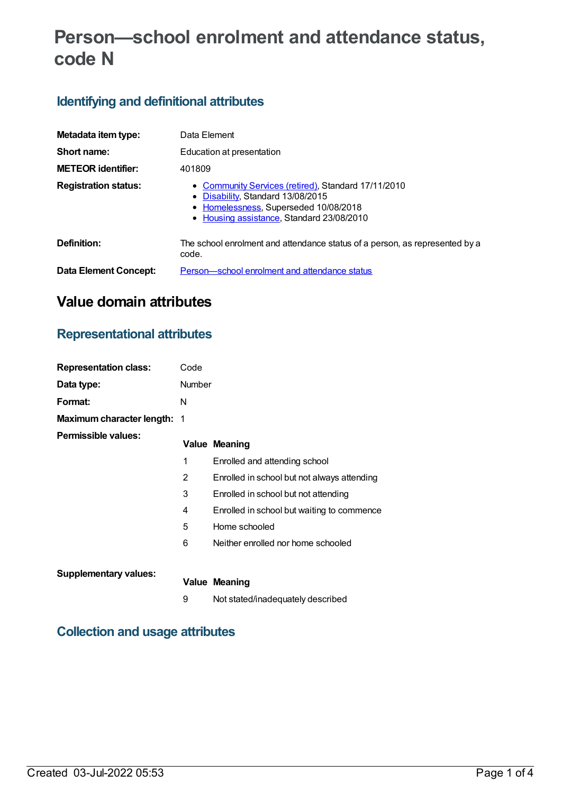# **Person—school enrolment and attendance status, code N**

## **Identifying and definitional attributes**

| Metadata item type:          | Data Element                                                                                                                                                                 |  |  |
|------------------------------|------------------------------------------------------------------------------------------------------------------------------------------------------------------------------|--|--|
| Short name:                  | Education at presentation                                                                                                                                                    |  |  |
| <b>METEOR identifier:</b>    | 401809                                                                                                                                                                       |  |  |
| <b>Registration status:</b>  | • Community Services (retired), Standard 17/11/2010<br>Disability, Standard 13/08/2015<br>• Homelessness, Superseded 10/08/2018<br>• Housing assistance, Standard 23/08/2010 |  |  |
| Definition:                  | The school enrolment and attendance status of a person, as represented by a<br>code.                                                                                         |  |  |
| <b>Data Element Concept:</b> | Person-school enrolment and attendance status                                                                                                                                |  |  |

# **Value domain attributes**

### **Representational attributes**

| <b>Representation class:</b>       | Code           |                                             |
|------------------------------------|----------------|---------------------------------------------|
| Data type:                         | <b>Number</b>  |                                             |
| Format:                            | N              |                                             |
| <b>Maximum character length: 1</b> |                |                                             |
| Permissible values:                |                | <b>Value Meaning</b>                        |
|                                    | 1              | Enrolled and attending school               |
|                                    | $\overline{2}$ | Enrolled in school but not always attending |
|                                    | 3              | Enrolled in school but not attending        |
|                                    | 4              | Enrolled in school but waiting to commence  |
|                                    | 5              | Home schooled                               |
|                                    | 6              | Neither enrolled nor home schooled          |
| <b>Supplementary values:</b>       |                |                                             |
|                                    |                | <b>Value Meaning</b>                        |
|                                    | 9              | Not stated/inadequately described           |
|                                    |                |                                             |

### **Collection and usage attributes**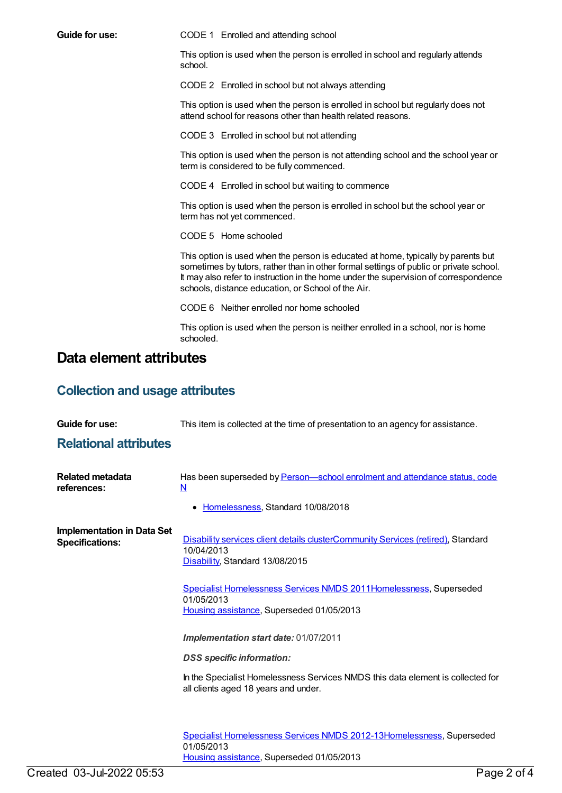**Guide for use:** CODE 1 Enrolled and attending school This option is used when the person is enrolled in school and regularly attends school. CODE 2 Enrolled in school but not always attending This option is used when the person is enrolled in school but regularly does not attend school for reasons other than health related reasons. CODE 3 Enrolled in school but not attending This option is used when the person is not attending school and the school year or term is considered to be fully commenced. CODE 4 Enrolled in school but waiting to commence This option is used when the person is enrolled in school but the school year or term has not yet commenced. CODE 5 Home schooled This option is used when the person is educated at home, typically by parents but sometimes by tutors, rather than in other formal settings of public or private school. It may also refer to instruction in the home under the supervision of correspondence schools, distance education, or School of the Air. CODE 6 Neither enrolled nor home schooled This option is used when the person is neither enrolled in a school, nor is home schooled. **Data element attributes Collection and usage attributes Guide for use:** This item is collected at the time of presentation to an agency for assistance. **Relational attributes**

| <b>Related metadata</b><br>references:                      | Has been superseded by <b>Person</b> school enrolment and attendance status, code<br>$\underline{\mathsf{N}}$                     |
|-------------------------------------------------------------|-----------------------------------------------------------------------------------------------------------------------------------|
|                                                             | Homelessness, Standard 10/08/2018<br>$\bullet$                                                                                    |
| <b>Implementation in Data Set</b><br><b>Specifications:</b> | Disability services client details clusterCommunity Services (retired), Standard<br>10/04/2013<br>Disability, Standard 13/08/2015 |
|                                                             | Specialist Homelessness Services NMDS 2011Homelessness, Superseded<br>01/05/2013<br>Housing assistance, Superseded 01/05/2013     |
|                                                             | Implementation start date: 01/07/2011                                                                                             |
|                                                             | <b>DSS</b> specific information:                                                                                                  |
|                                                             | In the Specialist Homelessness Services NMDS this data element is collected for<br>all clients aged 18 years and under.           |
|                                                             | Specialist Homelessness Services NMDS 2012-13 Homelessness, Superseded<br>01/05/2013                                              |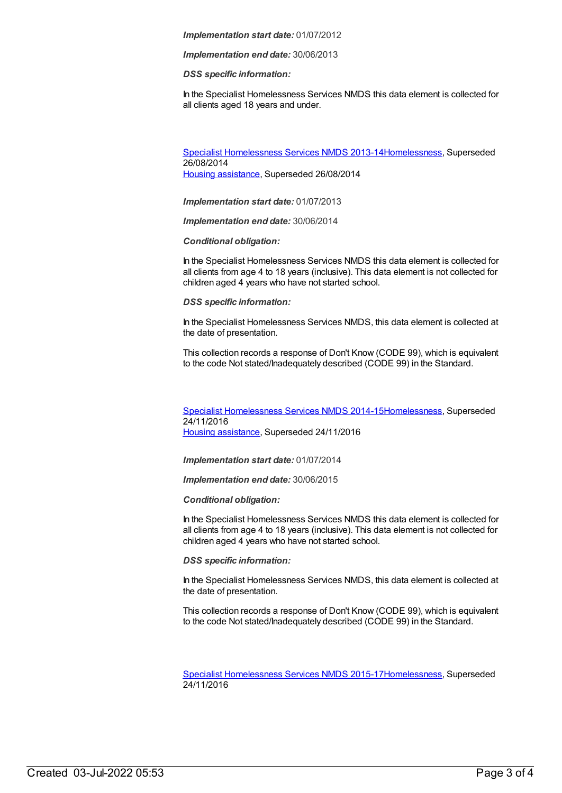#### *Implementation start date:* 01/07/2012

*Implementation end date:* 30/06/2013

*DSS specific information:*

In the Specialist Homelessness Services NMDS this data element is collected for all clients aged 18 years and under.

Specialist [Homelessness](https://meteor.aihw.gov.au/content/505626) Services NMDS 2013-1[4Homelessness](https://meteor.aihw.gov.au/RegistrationAuthority/14), Superseded 26/08/2014 Housing [assistance](https://meteor.aihw.gov.au/RegistrationAuthority/11), Superseded 26/08/2014

*Implementation start date:* 01/07/2013

*Implementation end date:* 30/06/2014

*Conditional obligation:*

In the Specialist Homelessness Services NMDS this data element is collected for all clients from age 4 to 18 years (inclusive). This data element is not collected for children aged 4 years who have not started school.

*DSS specific information:*

In the Specialist Homelessness Services NMDS, this data element is collected at the date of presentation.

This collection records a response of Don't Know (CODE 99), which is equivalent to the code Not stated/Inadequately described (CODE 99) in the Standard.

Specialist [Homelessness](https://meteor.aihw.gov.au/content/581255) Services NMDS 2014-1[5Homelessness](https://meteor.aihw.gov.au/RegistrationAuthority/14), Superseded 24/11/2016 Housing [assistance](https://meteor.aihw.gov.au/RegistrationAuthority/11), Superseded 24/11/2016

*Implementation start date:* 01/07/2014

*Implementation end date:* 30/06/2015

*Conditional obligation:*

In the Specialist Homelessness Services NMDS this data element is collected for all clients from age 4 to 18 years (inclusive). This data element is not collected for children aged 4 years who have not started school.

*DSS specific information:*

In the Specialist Homelessness Services NMDS, this data element is collected at the date of presentation.

This collection records a response of Don't Know (CODE 99), which is equivalent to the code Not stated/Inadequately described (CODE 99) in the Standard.

Specialist [Homelessness](https://meteor.aihw.gov.au/content/658005) Services NMDS 2015-1[7Homelessness](https://meteor.aihw.gov.au/RegistrationAuthority/14), Superseded 24/11/2016